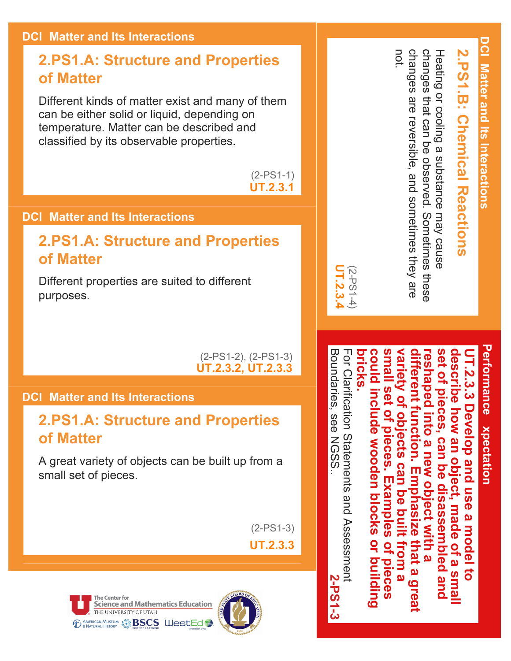#### **DCI: Matter and Its Interactions**

#### **2.PS1.A: Structure and Properties of Matter**

Different kinds of matter exist and many of them can be either solid or liquid, depending on temperature. Matter can be described and classified by its observable properties.

> (2-PS1-1) **UT.2.3.1**

#### **DCI: Matter and Its Interactions**

#### **2.PS1.A: Structure and Properties of Matter**

Different properties are suited to different purposes.

> (2PS12), (2PS13) **UT.2.3.2, UT.2.3.3**

#### **DCI: Matter and Its Interactions**

#### **2.PS1.A: Structure and Properties of Matter**

A great variety of objects can be built up from a small set of pieces.

(2-PS1-3)

**UT.2.3.3**





Heating or cooling a substance may cause<br>changes that can be observed. Sometimes these not. changes are reversible, and sometimes they are **2.PS1.B: Chemical Reactions** changes are reversible, and sometimes changes that can be observed. Sometimes these Heating or cooling a substance may cause **1.B: Chemical Reactions** 

> **Performance Expectation** Performance xpectation

**DCI: Matter and Its Interactions**

DCI Matter and Its Interactions

For Clarification Statements and Assessment **could include wooden blocks or building small set of pieces. Examples of pieces variety of objects can be built from a different function. Emphasize that a great set of pieces, can be disassembled and describe how an object, made of a small**  For Clarification Statements and Assessment **bricks. reshaped into a new object with a UT.2.3.3 Develop and use a model to**  escribe how uld inc ferent function. ..<br>ს  $\frac{1}{9}$ haped into ot pieces  $\frac{3}{3}$ **29.41** <u>961</u> **Develop and Tobjects**  $\overline{\mathbf{Q}}$ ude wooden blocks an object, **Can Ieces. a** new Can m Examples plo OD disassembled and DSP  $\overline{\mathbf{Q}}$ nas  $\overline{\mathbf{0}}$ made puilt  $\overline{\Omega}$  $\boldsymbol{\omega}$  $\overline{N}$ **L WIth a** model  $\overline{a}$ or building that a g from a  $\overline{a}$ pieces a sma  $\overline{5}$ **P91** 

(2PS14)

**UT.2.3.4**

IT.2.3.

Boundaries, see NGSS.

**Boundaries, see NGSS** 

.

**2-PS1-3**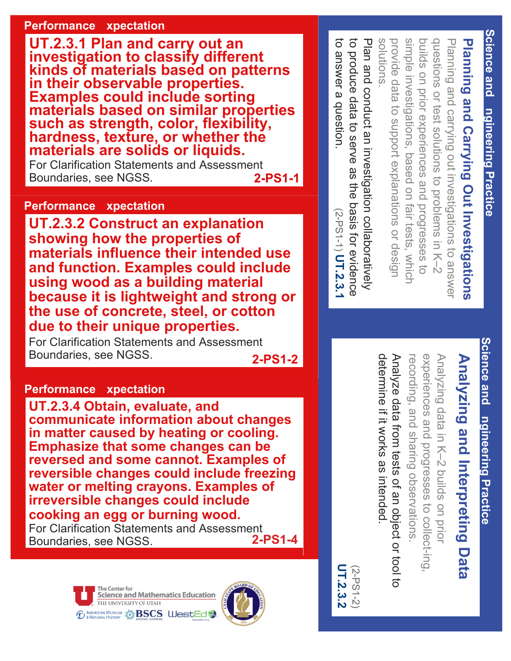#### **Performance xpectation**

**UT.2.3.1 Plan and carry out an investigation to classify different kinds of materials based on patterns in their observable properties. Examples could include sorting materials based on similar properties such as strength, color, flexibility, hardness, texture, or whether the materials are solids or liquids.**

For Clarification Statements and Assessment<br>Boundaries, see NGSS.<br>2-PS1-1 Boundaries, see NGSS.

to answer a question.

to answer a question

(2-PS1-1)

**UT.2.3.1**

#### **Performance xpectation**

**UT.2.3.2 Construct an explanation showing how the properties of materials influence their intended use and function. Examples could include using wood as a building material because it is lightweight and strong or the use of concrete, steel, or cotton due to their unique properties.**

For Clarification Statements and Assessment Boundaries, see NGSS. **2-PS1-2** 

#### **Performance xpectation**

**UT.2.3.4 Obtain, evaluate, and communicate information about changes in matter caused by heating or cooling. Emphasize that some changes can be reversed and some cannot. Examples of reversible changes could include freezing water or melting crayons. Examples of irreversible changes could include cooking an egg or burning wood.** For Clarification Statements and Assessment<br>Boundaries, see NGSS. 2-PS1-4 Boundaries, see NGSS.





Planning and Carrying Out Investigations to produce data to serve as the basis for evidence to produce data to Plan and conduct an investigation collaboratively Plan and conduct an investigation collaboratively solutions solutions. provide data to support explanations or design provide data to support explasimple investigations, based on fair tests, which buil dquestions or test solutions to problems in K-2 Planning and carrying out investigations to answer **Planning and Carrying Out** s on prior experiences and progresses to investigations, based on fair tests, which ns or test solutions to problems in K–2 g and carrying out investigations to answer serve as the basis for evidence **Investigations** ns or design

## **Science and Science and Engineering Practice** ngineering Practice

**Science and Engineering Practice**

ngineering Practice

Science and

# **Analyzing and Interpreting Data** Analyzing and Interpreting Data

Analy zing data in K–2 buil ds on prior experiences and progresses to coll ect-ing, recording, and sharing observations.

determine if it works as intended determine if it works Analyze data from tests of an object or tool to Analyze data from tests of an object or tool to as intended.

UT.2.3.2 **UT.2.3.2** (2-PS1-2)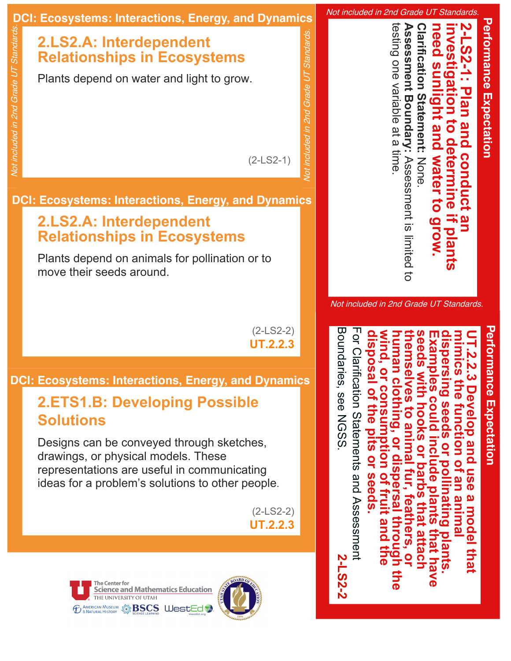

Not included in 2nd Grade UT Standards.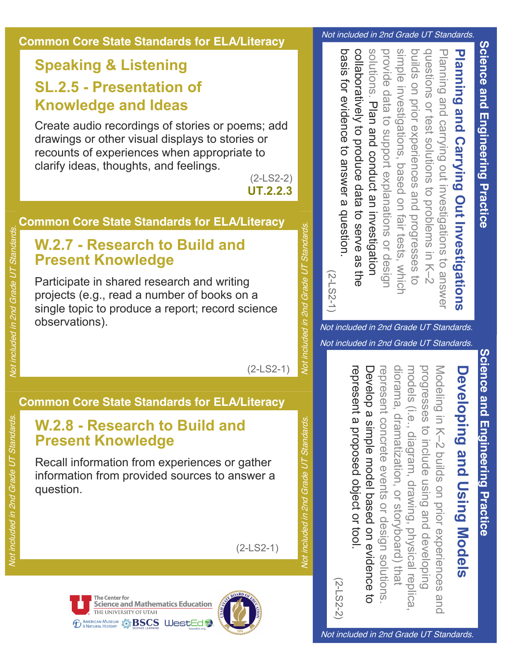

#### **Common Core State Standards for ELA/Literacy**

#### **Speaking & Listening SL.2.5 Presentation of Knowledge and Ideas**

Create audio recordings of stories or poems; add drawings or other visual displays to stories or recounts of experiences when appropriate to clarify ideas, thoughts, and feelings.

#### **Common Core State Standards for ELA/Literacy**

#### **W.2.7 Research to Build and Present Knowledge**

Participate in shared research and writing projects (e.g., read a number of books on a single topic to produce a report; record science observations).

#### **Common Core State Standards for ELA/Literacy**

#### **W.2.8 Research to Build and Present Knowledge**

Recall information from experiences or gather information from provided sources to answer a question.

Not included in 2nd Grade UT Standards.

Not included in 2nd Grade UT Standards.



Not included in 2nd Grade UT Standards.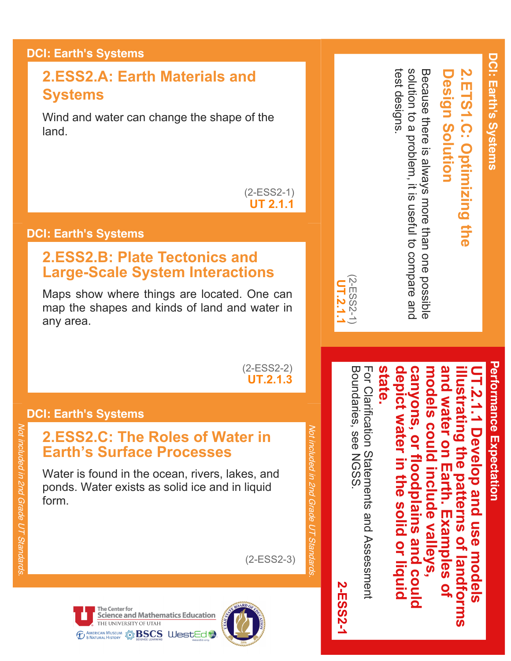#### **DCI: Earth's Systems**

#### **2.ESS2.A: Earth Materials and Systems**

Wind and water can change the shape of the land.

> $(2-ESS2-1)$ **UT 2.1.1**

#### **DCI: Earth's Systems**

#### **2.ESS2.B: Plate Tectonics and Large-Scale System Interactions**

Maps show where things are located. One can map the shapes and kinds of land and water in any area.

> $(2-ESS2-2)$ **UT.2.1.3**

#### **DCI: Earth's Systems**

#### **2.ESS2.C: The Roles of Water in Earth's Surface Processes**

Water is found in the ocean, rivers, lakes, and ponds. Water exists as solid ice and in liquid form.

**Science and Mathematics Education** 

**state.**

2-ESS2-1 **2-ESS2-1**

Not included in 2nd Grade UT Standards. Vot included in 2nd Grade UT Standards

 $(2-ESS2-3)$ 

**Design Solution**

**esign Solution** 

**2.ETS1.C: Optimizing the**

2.ETS1.C: Optimizing the

(2ESS21) (2-ESS2-1 **UT.2.1.1**

test designs.

test designs

solution to a problem, it is useful to compare and Because there is always more than one possible

Because there is always more than one possible<br>solution to a problem, it is useful to compare and

**Performance Expectation Performance Expectation** T.2.1.1

**depict water in the solid or liquid canyons, or floodplains and could models could include valleys, and water on Earth. Examples of illustrating the patterns of landforms UT.2.1.1 Develop and use models**  depict water in the solid or liquid and water on Earth. Examples models could include valleys, canyons, lustrating the patterns of landforms Develop and use models or floodplains and could  $\overline{\mathbf{Q}}$ 

For Clarification Statements and Assessment<br>Boundaries, see NGSS. Boundaries, see NGSS. For Clarification Statements and Assessment





THE UNIVERSITY OF UTAH *ED AMERICAN MUSEUM* SPING BSCS WestEd

The Center for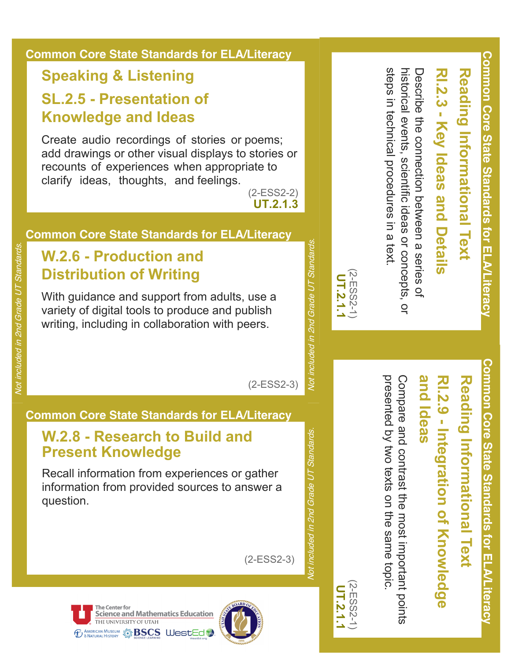#### **Common Core State Standards for ELA/Literacy**

#### **Speaking & Listening**

#### **SL.2.5 Presentation of Knowledge and Ideas**

Create audio recordings of stories or poems; add drawings or other visual displays to stories or recounts of experiences when appropriate to clarify ideas, thoughts, and feelings.

 $(2-ESS2-2)$ **UT.2.1.3**

#### **Common Core State Standards for ELA/Literacy**

#### **W.2.6 Production and Distribution of Writing**

With guidance and support from adults, use a variety of digital tools to produce and publish writing, including in collaboration with peers.

 $(2-ESS2-3)$ 

#### **Common Core State Standards for ELA/Literacy**

#### **W.2.8 Research to Build and Present Knowledge**

Recall information from experiences or gather information from provided sources to answer a question.

**Common Core State Standards for ELA/Literacy** Common Core State Standards for EL. terac

**Common Core State Standards for ELA/Literacy**

**terac** 

Common Core State Standards for EL.

## **Reading Informational Text** Reading Informational Text

### and ldeas **and Ideas RI.2.9 Integration of Knowledge**  RI.2.9 - Integration of Knowledge

presented by two texts on the same topic presented by two Compare and contrast the most important points Compare and contrast the most important points texts on the same topic.

steps in technical procedures in a text.

steps in technical procedures in a text

(2ESS21) **UT.2.1.1**

(2-ESS2-

Not included in 2nd Grade UT Standards.

Not included in 2nd Grade UT Standards.

Not included in 2nd Grade UT Standards.

Vot included in 2nd Grade UT Standards.

(2ESS21) **UT.2.1.1**

(2-ESS2-1

historical events, scientific ideas or concepts, or

 $\overline{Q}$ 

historical events, scientific ideas or concepts, Describe the connection perseen a series of

Describe the connection between a series of

**RI.2.3 Key Ideas and Details**

.2.3 - Key Ideas and Details

**Reading Informational Text**

Reading Informational Text

 $(2-ESS2-3)$ 



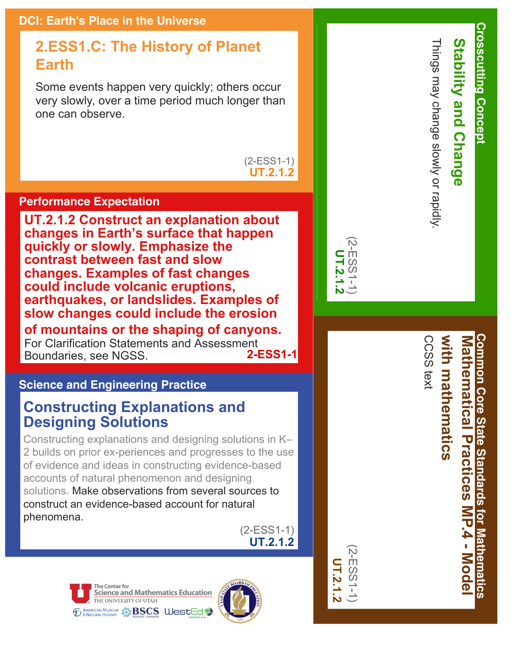#### **2.ESS1.C: The History of Planet Earth**

Some events happen very quickly; others occur very slowly, over a time period much longer than one can observe.

> $(2-ESS1-1)$ **UT.2.1.2**

#### **Performance Expectation**

**UT.2.1.2 Construct an explanation about changes in Earth's surface that happen quickly or slowly. Emphasize the contrast between fast and slow changes. Examples of fast changes could include volcanic eruptions, earthquakes, or landslides. Examples of slow changes could include the erosion of mountains or the shaping of canyons.**

For Clarification Statements and Assessment<br>Boundaries, see NGSS Boundaries, see NGSS.

#### **Science and Engineering Practice**

#### **Constructing Explanations and Designing Solutions**

Constructing explanations and designing solutions in K– 2 builds on prior ex-periences and progresses to the use of evidence and ideas in constructing evidence-based accounts of natural phenomenon and designing solutions. Make observations from several sources to construct an evidence-based account for natural phenomena.

> $(2-ESS1-1)$ **UT.2.1.2**





|        | Щ        |
|--------|----------|
| ᆜ      | S        |
| ৩<br>Þ | $\omega$ |
|        |          |
|        |          |
| o      |          |

(2ESS11) **UT.2.1.2**

**2-ESS** 



.

CCSS text

CCSS text

**Crosscutting Concept**

**Crosscutting Concept** 

**Stability and Change**

 $\overline{\mathbf{c}}$ 

**Stability and Chang** 

**Common Core State Standards for Mathematics with mathematics Common Core State Standards for Mathematics** Mathematical Practices MP.4 - Mode **Mathematical Practices** with mathematics **MP.4 Model**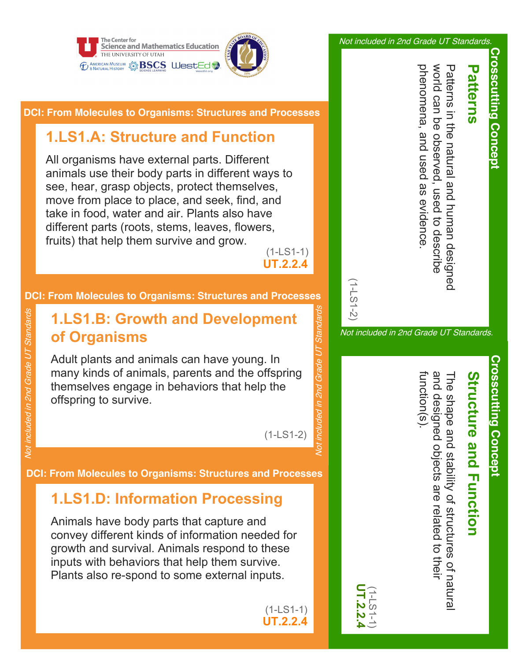



**DCI: From Molecules to Organisms: Structures and Processes**

#### **1.LS1.A: Structure and Function**

All organisms have external parts. Different animals use their body parts in different ways to see, hear, grasp objects, protect themselves, move from place to place, and seek, find, and take in food, water and air. Plants also have different parts (roots, stems, leaves, flowers, fruits) that help them survive and grow.

 $(1-LS1-1)$ **UT.2.2.4**

#### **DCI: From Molecules to Organisms: Structures and Processes**

#### **1.LS1.B: Growth and Development of Organisms**

Adult plants and animals can have young. In many kinds of animals, parents and the offspring themselves engage in behaviors that help the offspring to survive.

Not included in 2nd Grade UT Standards

Not included in 2nd Grade UT Standards

 $(1-LS1-2)$ 

Not included in 2nd Grade UT Standards

uded in 2nd Grade UT

inclu

Standard.

**DCI: From Molecules to Organisms: Structures and Processes**

#### **1.LS1.D: Information Processing**

Animals have body parts that capture and convey different kinds of information needed for growth and survival. Animals respond to these inputs with behaviors that help them survive. Plants also re-spond to some external inputs.

> $(1-LS1-1)$ **UT.2.2.4**

Not included in 2nd Grade UT Standards.

phenomena, and used as evidence world can be phenomena, and used as evidence. world can be observed, Patterns in the natural and human designed Patterns in the natural and human designed observed used to describe used to describe

**Crosscutting Concept**

**Crosscutting Concept** 

**Patterns**

atterns

 $\overline{\mathbf{U}}$ 

Not included in 2nd Grade UT Standards.

(1LS12)

# **Structure and Function**

function(s). and designed objects are related to their and designed objects The shape and stability of structures of natural s)uotion(s The shape and stability of structures of natura are related to their

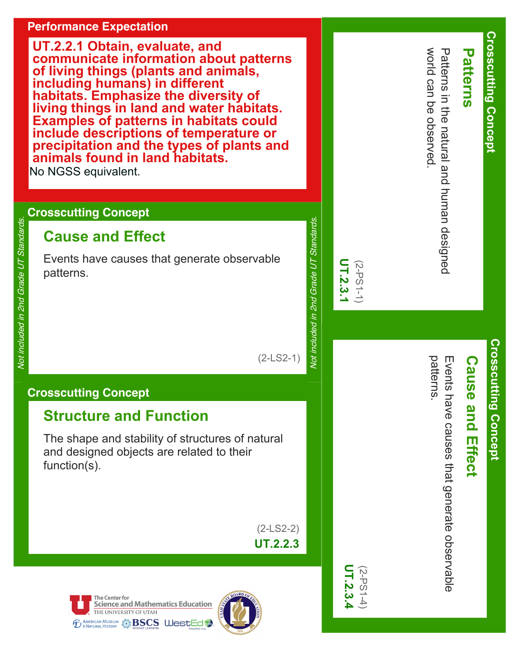#### **Performance Expectation**

**UT.2.2.1 Obtain, evaluate, and communicate information about patterns of living things (plants and animals, including humans) in different habitats. Emphasize the diversity of living things in land and water habitats. Examples of patterns in habitats could include descriptions of temperature or precipitation and the types of plants and animals found in land habitats.** No NGSS equivalent.

#### **Crosscutting Concept**

#### **Cause and Effect**

Events have causes that generate observable patterns.

 $(2-LS2)$ 

#### **Crosscutting Concept**

The shape and stability of structures of natural and designed objects are related to their function(s).

> $(2-LS2)$ **UT.2.2.3**





| $(-1)$<br>$-2)$<br>2.3                                                                 | Ŝ                                                                                       |
|----------------------------------------------------------------------------------------|-----------------------------------------------------------------------------------------|
|                                                                                        | Not included in 2nd Grade UT Standards.                                                 |
| UT.2.3.4<br>$(2-PS1-4)$                                                                | UT.2.3.1<br>$(2-PS1-1)$                                                                 |
| patterns.<br>Events have causes that generate observable<br><b>Cause</b><br>and Effect | World can be observed.<br>Patterns in the natural and human designed<br><b>Patterns</b> |
| <u>Crosscutting Concept</u>                                                            | <b>Crosscutting Concept</b>                                                             |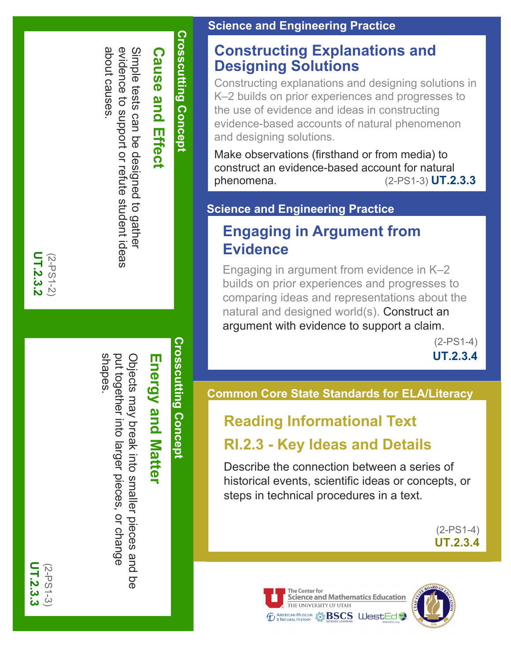#### **Constructing Explanations and Designing Solutions**

Constructing explanations and designing solutions in K–2 builds on prior experiences and progresses to the use of evidence and ideas in constructing evidence-based accounts of natural phenomenon and designing solutions.

Make observations (firsthand or from media) to construct an evidence-based account for natural phenomena. (2-PS1-3) **UT.2.3.3**

#### **Science and Engineering Practice**

#### **Engaging in Argument from Evidence**

Engaging in argument from evidence in K–2 builds on prior experiences and progresses to comparing ideas and representations about the natural and designed world(s). Construct an argument with evidence to support a claim.

(2-PS1-4) **UT.2.3.4**

#### **Common Core State Standards for ELA/Literacy**

#### **Reading Informational Text**

#### **RI.2.3 - Key Ideas and Details**

Describe the connection between a series of historical events, scientific ideas or concepts, or steps in technical procedures in a text.

> (2-PS1-4) **UT.2.3.4**





**Crosscutting Concept Crosscutting Concept**

Cause and **Cause and Effect** Effect

evidence to support or

about causes.

about causes

evidence to support or refute student ideas

student ideas

Simple tests can be designed to gather

Simple tests can be designed to gather

UT.2.3.2 **UT.2.3.2** (2-PS1-2)

> **Crosscutting Concept Crosscutting Concept**

## **Energy and Matter Energy and Matter**

shapes. put together into larger pieces, or change put together into Objects may break into smaller pieces and Objects may break into smaller pieces and be er pieces, or change  $\overline{\mathsf{q}}$ 

**UT.2.3.3** UT.2.3.3 (2-PS1-3)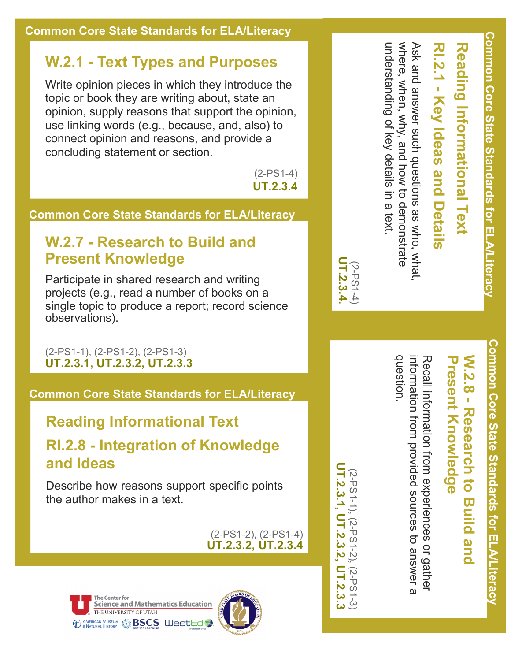#### **W.2.1 - Text Types and Purposes**

Write opinion pieces in which they introduce the topic or book they are writing about, state an opinion, supply reasons that support the opinion, use linking words (e.g., because, and, also) to connect opinion and reasons, and provide a concluding statement or section.

> (2-PS1-4) **UT.2.3.4**

#### **Common Core State Standards for ELA/Literacy**

#### **W.2.7 - Research to Build and Present Knowledge**

Participate in shared research and writing projects (e.g., read a number of books on a single topic to produce a report; record science observations).

(2-PS1-1), (2-PS1-2), (2-PS1-3) **UT.2.3.1, UT.2.3.2, UT.2.3.3**

**Common Core State Standards for ELA/Literacy**

#### **Reading Informational Text**

**RI.2.8 - Integration of Knowledge and Ideas**

Describe how reasons support specific points the author makes in a text.

> (2-PS1-2), (2-PS1-4) **UT.2.3.2, UT.2.3.4**





**Reading Informational Text RI.21 - Key Ideas and Details**

**Common Core State Standards for** 

**ELA/L**

**iteracy**

understanding of key details where, when, why, and how to demonstrate where, when, why Ask and answer such questions as who, what, Ask and answer such questions as who, what, understanding of key details in a text. and how to demonstrate in a text.

#### **W.2.8 - Research to Build and Present Knowledge**

Recall information ።<br>በ  $\exists$ experiences o $\mathbin{\rightharpoondown}$ gathe $\mathbin{\rightharpoondown}$ information ።<br>በ  $\exists$ provided source $\omega$ ರ answeر<br>م question.

(2-PS1-1), (2-PS1-2), (2-PS1-3)

(2-PS1- 4) **UT.2.3.4.**

UT.2.3.4

**UT.2.3.1, UT.2.3.2, UT.2.3.3**

UT.2.3.3

UT.2.3.2

**UT.2.3.1**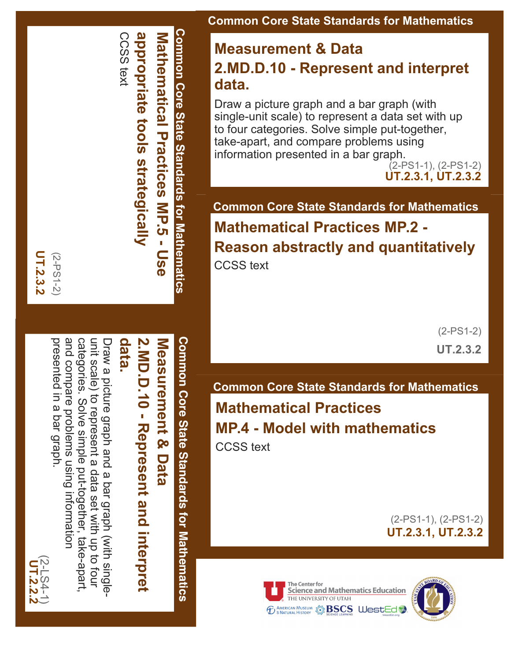

**Measurement & Data 2.MD.D.10 - Represent and interpret data.**

Draw a picture graph and a bar graph (with single-unit scale) to represent a data set with up to four categories. Solve simple put-together, take-apart, and compare problems using information presented in a bar graph.

(2-PS1-1), (2-PS1-2) **UT.2.3.1, UT.2.3.2**

**Common Core State Standards for Mathematics Mathematical Practices MP.2 - Reason abstractly and quantitatively** CCSS text

> (2-PS1-2) **UT.2.3.2**

**Common Core State Standards for Mathematics Mathematical Practices MP.4 - Model with mathematics**

CCSS text

(2-PS1-1), (2-PS1-2) **UT.2.3.1, UT.2.3.2**





**Common Core State Standards for Mathematics Common Core State Standards for Mathematics** CCappropriate tools strategically **appropriate Mathematical** ()<br>() text **Practices strategically MP.5 - Use**

**UT.2.3.2** UT.2.3.2 (2-PS1-2)

> **data. 2.MD.D.10 Represent and interpret N.N.D.D.10 - Represent and interprett** Measurement & Data **Measurement & Data**

**Common Core State Standards for Mathematics**

Common Core State Standards for Mathematics

and compare problems using information Draw a picture graph and a bar graph (with single-<br>unit scale) to represent a data set with up to four presented in a bar graph categories. presented in a bar graph. and compare problems using information categories. Solve simple put-together, take-apart, unit scale) to represent Draw a picture graph and a bar graph (with single-Solve simple put-together, take-apart a data set with up to four

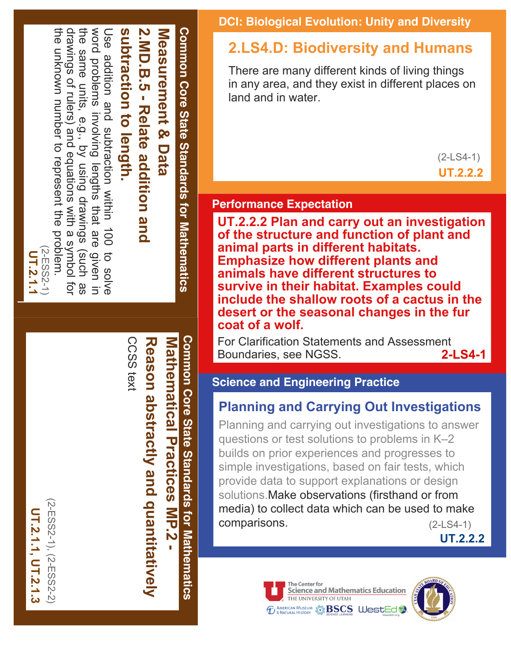

Common Core State Standards for Mathematics **Common Core State Standards for Mathematics** CCSS text CCSS text Reason abstractly and quantitatively **MP.2 MP.2 Practices MP.2 Reason abstractly and quantitatively Mathematical Practices**

**DCI: Biological Evolution: Unity and Diversity**

#### **2.LS4.D: Biodiversity and Humans**

There are many different kinds of living things in any area, and they exist in different places on land and in water.

> $(2-LS4-1)$ **UT.2.2.2**

#### **Performance Expectation**

**UT.2.2.2 Plan and carry out an investigation of the structure and function of plant and animal parts in different habitats. Emphasize how different plants and animals have different structures to survive in their habitat. Examples could include the shallow roots of a cactus in the desert or the seasonal changes in the fur coat of a wolf.** 

For Clarification Statements and Assessment<br>Boundaries, see NGSS, 2-LS4-1 Boundaries, see NGSS.

#### **Science and Engineering Practice**

#### **Planning and Carrying Out Investigations**

Planning and carrying out investigations to answer questions or test solutions to problems in K–2 builds on prior experiences and progresses to simple investigations, based on fair tests, which provide data to support explanations or design solutions.Make observations (firsthand or from media) to collect data which can be used to make comparisons. (2-LS4-1)

**UT.2.2.2**





 $(2-ESS2-1), (2-ESS2-2)$ (2ESS21), (2ESS22) UT.2.1.1, UT.2.1.3 **UT.2.1.1, UT.2.1.3**

**UT.2.1.1**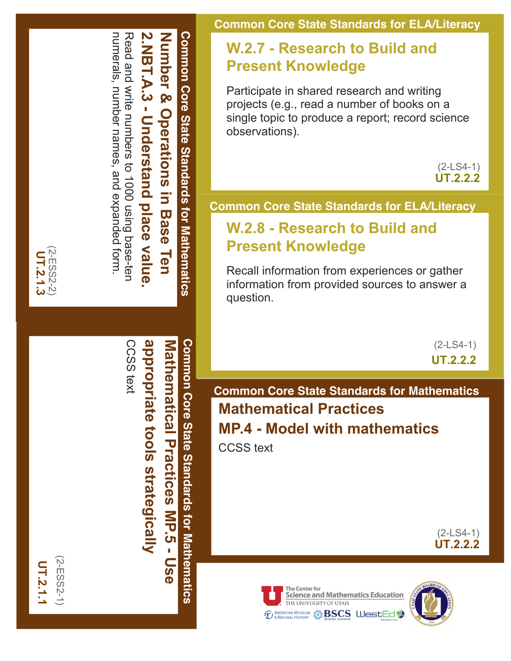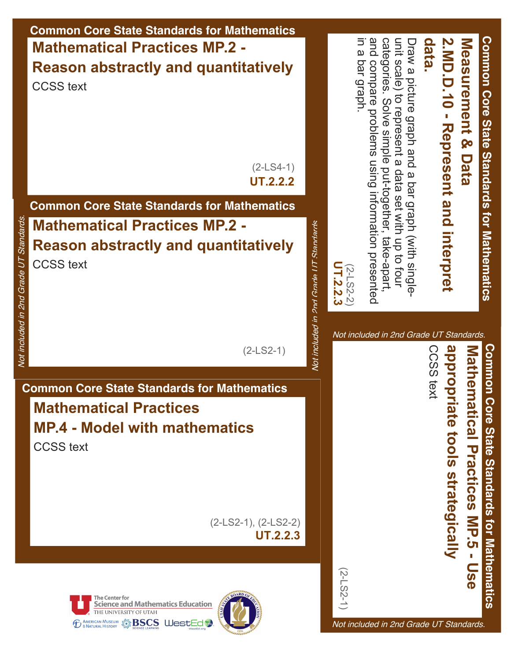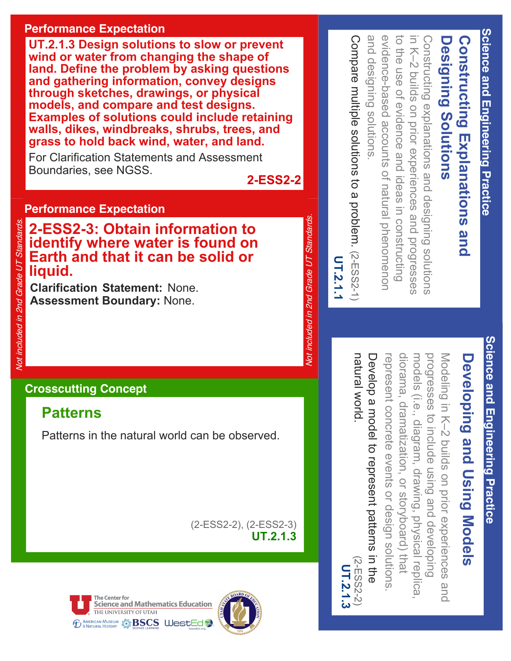#### **Performance Expectation**

**UT.2.1.3 Design solutions to slow or prevent wind or water from changing the shape of land. Define the problem by asking questions and gathering information, convey designs through sketches, drawings, or physical models, and compare and test designs. Examples of solutions could include retaining walls, dikes, windbreaks, shrubs, trees, and grass to hold back wind, water, and land.** 

For Clarification Statements and Assessment Boundaries, see NGSS.

**2-ESS2-2**

Not included in 2nd Grade UT Standards.

**Vot included in 2nd Grade UT Standards** 

#### **Performance Expectation**

**2ESS23: Obtain information to identify where water is found on Earth and that it can be solid or liquid. Properties: Assess 2-3: Obtain inform<br>
identify where water is<br>
Earth and that it can be<br>
liquid.<br>
Clarification Statement: None.<br>
Assessment Boundary: None.<br>
Let us a sessment Boundary: None.** 

**Clarification Statement:** None.

#### **Crosscutting Concept**

#### **Patterns**

Patterns in the natural world can be observed.

(2ESS22), (2ESS23) **UT.2.1.3**





and designing solutions evidence-based accounts of natural phenomenor Compare multiple solutions to a problem. (2-ESS2-1) Compare multiple solutions to a problem. and designing solutions. evidence-based accounts of natural phenomenon to the use of evidence and ideas in constructing to the use of evidence and ideas in constructing in K-2 builds on prior experiences and progresses in K–2 buil Constructing explanations and designing solutions Constructing explanations and designing solutions **Designing Solutions Designing** ds on prior experiences and progresses **Solutions** (2ESS21)

# **UT.2.1.1**

progresses to include using and developing Modeling in K-2 builds on prior experiences **Developing and Using Models** models (i.e., diagram, drawing, physical replica models (i.e., diagram, drawing, physical replica, progresses to include using Modeling in K–2 builds on prior experiences and **Developing and Using Models** and developing

how learnen diorama, dramatization, or storyboard) that natural world. Develop a model to represent patterns in the Develop a model to represent patterns in the represent concrete events or design represent concrete events or design solutions dramatization, or storyboard) that solutions. (2ESS22)  $2-E552-2$ 

**UT.2.1.3**

UT.2.1.3

Science and Engineering Practice **Science and Engineering Practice**

**Science and Engineering Practice**

Science and Engineering Practice

**Constructing Explanations and** 

**Constructing Explanations and** 

and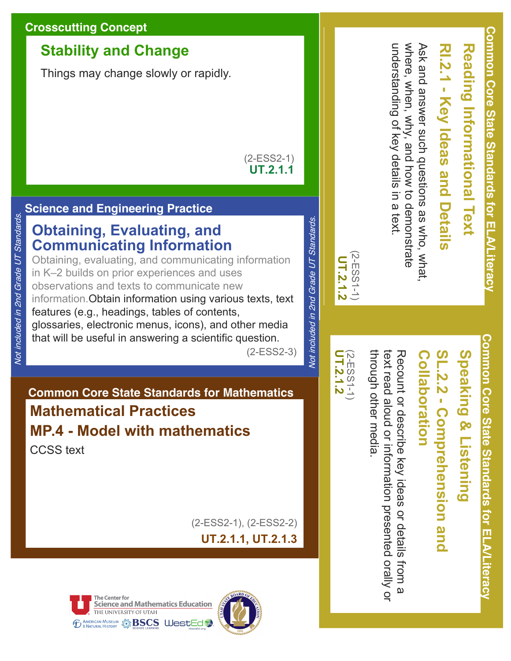#### **Crosscutting Concept**

#### **Stability and Change**

Things may change slowly or rapidly.

 $(2-ESS2-1)$ **UT.2.1.1**

#### **Science and Engineering Practice**

Not included in 2nd Grade UT Standards.

Not included in 2nd Grade UT Standards.

#### **Obtaining, Evaluating, and Communicating Information**

Obtaining, evaluating, and communicating information in K–2 builds on prior experiences and uses observations and texts to communicate new information.Obtain information using various texts, text features (e.g., headings, tables of contents, glossaries, electronic menus, icons), and other media that will be useful in answering a scientific question.

(2ESS23)

#### **Common Core State Standards for Mathematics Mathematical Practices MP.4 Model with mathematics** CCSS text

(2ESS21), (2ESS22) **UT.2.1.1, UT.2.1.3**







Speaking & Listening **Speaking & Listening**

# **SL.2.2 Comprehension and**  SL.2.2 - Comprehension and

## **Collaboration** Collaboration

through other media text read aloud or information presented orally or through other media. text read aloud or Recount or describe key Recount or describe key ideas or details from a information presented orally or ideas or details from a

 $(2-\text{ESS}1-1)$ <br>UT.2.1.2 **UT.2.1.2** (2ESS11)

(2ESS11) **UT.2.1.2**

 $(2-ESS1-1)$ UT.2.1.2

Not included in 2nd Grade UT Standards.

Vot included in 2nd Grade UT Standards.

# **Reading Informational Text Reading Informational Text**

# **RI.2.1 Key Ideas and Details** l.2.1 - Key Ideas and Details

understanding of key details in a text. where, when, why, and how to where, when, why, Ask and answer such questions as who, what Ask and answer such questions as who, what, understanding of key details in a text. and how to demonstrate demonstrate

> **Common Core State Standards for ELA/Literacy** Common Core State Standards for ELA/Literac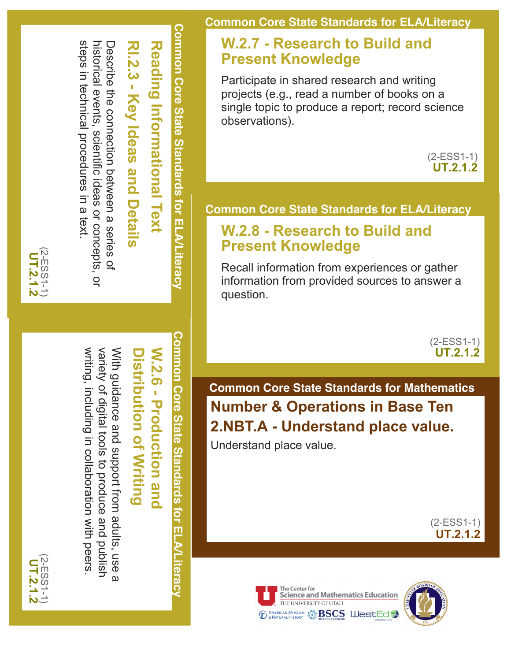

variety of digital tools to produce writing, including in collaboration with peers writing, including in collaboration with peers. variety of digital tools With guidance and support from adults, use a With guidance and support from adults, use to produce and publish and holish  $\overline{\omega}$ 

**W.2.6 - Production and W.2.6 Production and Distribution of Writing Distribution of Writing**

**Common Core State Standards for ELA/Literacy**

Common Core State Standards for ELA/Literacy

Describe the connection between a series of Describe the connection between a series of

# **RI.2.3 Key Ideas and Details** RI.2.3 - Key Ideas and Details

steps in technical procedures in a text.

steps in technical procedures in a text.

(2-ESS11) **UT.2.1.2**

historical events, scientific ideas or concepts, or

historical events, scientific ideas or concepts, or

**Reading Informational Text Reading Informational Text**

**Common Core State Standards for ELA/Literacy**

Common Core State Standards for ELA/Literacy

**Common Core State Standards for ELA/Literacy**

#### **W.2.7 Research to Build and Present Knowledge**

Participate in shared research and writing projects (e.g., read a number of books on a single topic to produce a report; record science observations).

> $(2-ESS1-1)$ **UT.2.1.2**

#### **Common Core State Standards for ELA/Literacy**

#### **W.2.8 Research to Build and Present Knowledge**

Recall information from experiences or gather information from provided sources to answer a question.

> $(2-ESS1-1)$ **UT.2.1.2**

**Common Core State Standards for Mathematics Number & Operations in Base Ten 2.NBT.A Understand place value.**

Understand place value.

 $(2-ESS1-1)$ **UT.2.1.2**



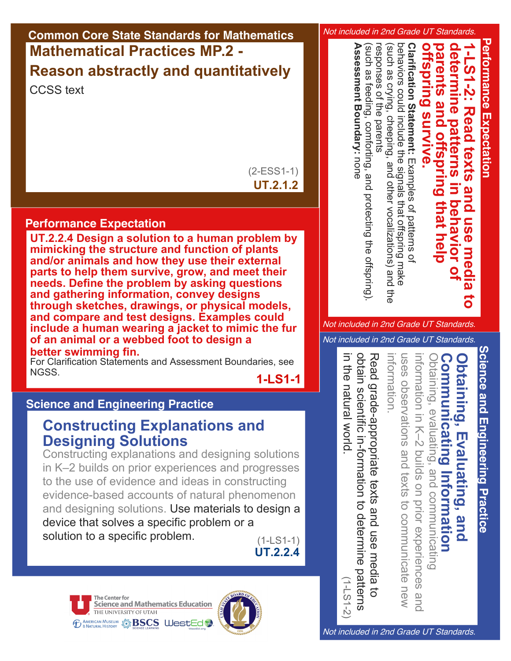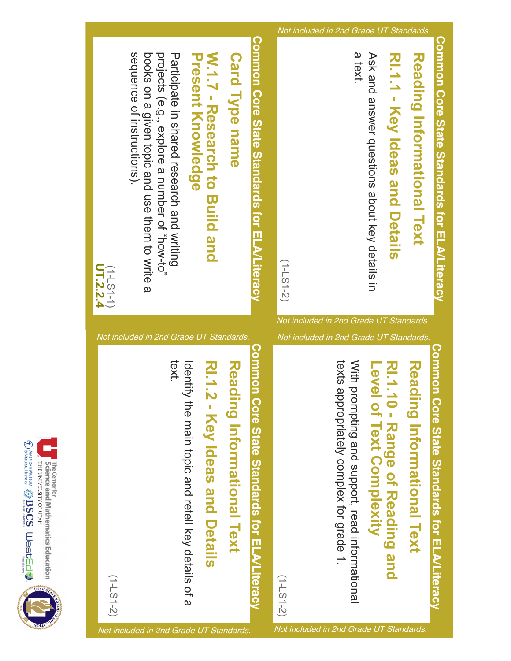

**Continued Maria & BSCS Webster Control &** The Center for<br>**Science and Mathematics Education**<br>THE UNIVERSITY OF UTAH